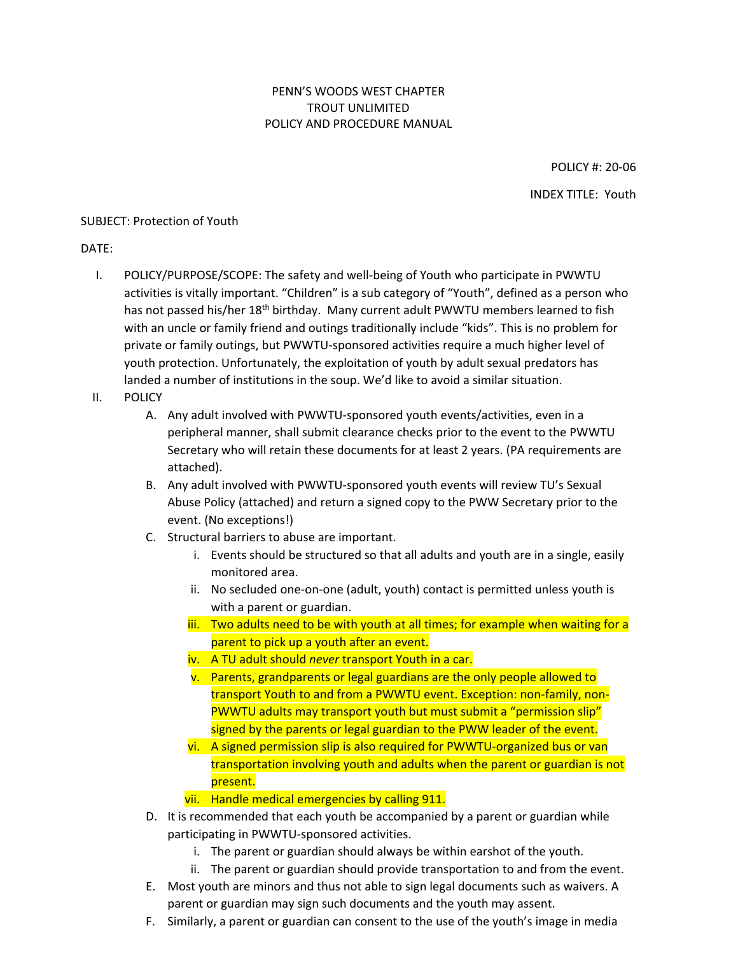## PENN'S WOODS WEST CHAPTER TROUT UNLIMITED POLICY AND PROCEDURE MANUAL

POLICY #: 20-06 INDEX TITLE: Youth

## SUBJECT: Protection of Youth

DATE:

- I. POLICY/PURPOSE/SCOPE: The safety and well-being of Youth who participate in PWWTU activities is vitally important. "Children" is a sub category of "Youth", defined as a person who has not passed his/her 18<sup>th</sup> birthday. Many current adult PWWTU members learned to fish with an uncle or family friend and outings traditionally include "kids". This is no problem for private or family outings, but PWWTU-sponsored activities require a much higher level of youth protection. Unfortunately, the exploitation of youth by adult sexual predators has landed a number of institutions in the soup. We'd like to avoid a similar situation.
- II. POLICY
	- A. Any adult involved with PWWTU-sponsored youth events/activities, even in a peripheral manner, shall submit clearance checks prior to the event to the PWWTU Secretary who will retain these documents for at least 2 years. (PA requirements are attached).
	- B. Any adult involved with PWWTU-sponsored youth events will review TU's Sexual Abuse Policy (attached) and return a signed copy to the PWW Secretary prior to the event. (No exceptions!)
	- C. Structural barriers to abuse are important.
		- i. Events should be structured so that all adults and youth are in a single, easily monitored area.
		- ii. No secluded one-on-one (adult, youth) contact is permitted unless youth is with a parent or guardian.
		- iii. Two adults need to be with youth at all times; for example when waiting for a parent to pick up a youth after an event.
		- iv. A TU adult should *never* transport Youth in a car.
		- v. Parents, grandparents or legal guardians are the only people allowed to transport Youth to and from a PWWTU event. Exception: non-family, non-PWWTU adults may transport youth but must submit a "permission slip" signed by the parents or legal guardian to the PWW leader of the event.
		- vi. A signed permission slip is also required for PWWTU-organized bus or van transportation involving youth and adults when the parent or guardian is not present.
		- vii. Handle medical emergencies by calling 911.
	- D. It is recommended that each youth be accompanied by a parent or guardian while participating in PWWTU-sponsored activities.
		- i. The parent or guardian should always be within earshot of the youth.
		- ii. The parent or guardian should provide transportation to and from the event.
	- E. Most youth are minors and thus not able to sign legal documents such as waivers. A parent or guardian may sign such documents and the youth may assent.
	- F. Similarly, a parent or guardian can consent to the use of the youth's image in media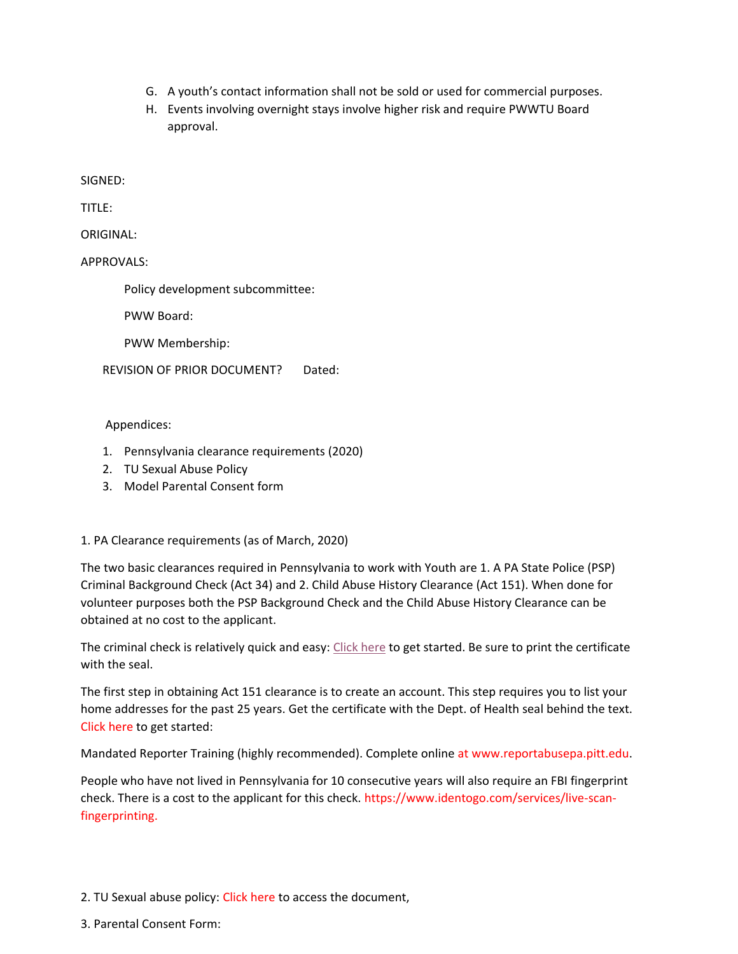- G. A youth's contact information shall not be sold or used for commercial purposes.
- H. Events involving overnight stays involve higher risk and require PWWTU Board approval.

SIGNED:

TITLE:

ORIGINAL:

APPROVALS:

Policy development subcommittee:

PWW Board:

PWW Membership:

REVISION OF PRIOR DOCUMENT? Dated:

Appendices:

- 1. Pennsylvania clearance requirements (2020)
- 2. TU Sexual Abuse Policy
- 3. Model Parental Consent form

1. PA Clearance requirements (as of March, 2020)

The two basic clearances required in Pennsylvania to work with Youth are 1. A PA State Police (PSP) Criminal Background Check (Act 34) and 2. Child Abuse History Clearance (Act 151). When done for volunteer purposes both the PSP Background Check and the Child Abuse History Clearance can be obtained at no cost to the applicant.

The criminal check is relatively quick and easy: [Click here](https://epatch.state.pa.us/) to get started. Be sure to print the certificate with the seal.

The first step in obtaining Act 151 clearance is to create an account. This step requires you to list your home addresses for the past 25 years. Get the certificate with the Dept. of Health seal behind the text. [Click here](https://www.compass.state.pa.us/cwis/public/home) to get started:

Mandated Reporter Training (highly recommended). Complete online at [www.reportabusepa.pitt.edu.](http://www.reportabusepa.pitt.edu/)

People who have not lived in Pennsylvania for 10 consecutive years will also require an FBI fingerprint check. There is a cost to the applicant for this check. [https://www.identogo.com/services/live-scan](https://www.identogo.com/services/live-scan-fingerprinting)[fingerprinting.](https://www.identogo.com/services/live-scan-fingerprinting)

- 2. TU Sexual abuse policy: [Click here](https://www.tu.org/wp-content/uploads/2019/11/TU_Sexual_Abuse_Policy.pdf) to access the document,
- 3. Parental Consent Form: